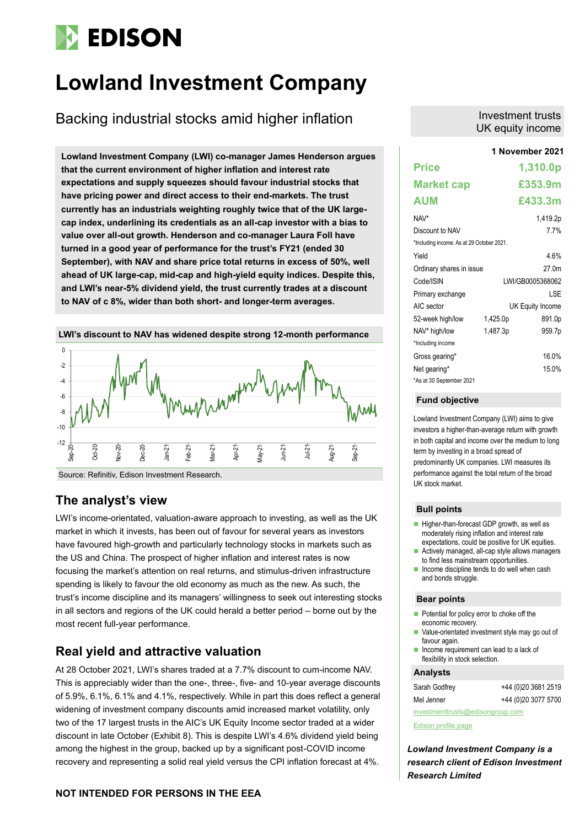# **EDISON**

## **Lowland Investment Company**

Backing industrial stocks amid higher inflation

**Lowland Investment Company (LWI) co-manager James Henderson argues that the current environment of higher inflation and interest rate expectations and supply squeezes should favour industrial stocks that have pricing power and direct access to their end-markets. The trust currently has an industrials weighting roughly twice that of the UK largecap index, underlining its credentials as an all-cap investor with a bias to value over all-out growth. Henderson and co-manager Laura Foll have turned in a good year of performance for the trust's FY21 (ended 30 September), with NAV and share price total returns in excess of 50%, well ahead of UK large-cap, mid-cap and high-yield equity indices. Despite this, and LWI's near-5% dividend yield, the trust currently trades at a discount to NAV of c 8%, wider than both short- and longer-term averages.**



## **The analyst's view**

LWI's income-orientated, valuation-aware approach to investing, as well as the UK market in which it invests, has been out of favour for several years as investors have favoured high-growth and particularly technology stocks in markets such as the US and China. The prospect of higher inflation and interest rates is now focusing the market's attention on real returns, and stimulus-driven infrastructure spending is likely to favour the old economy as much as the new. As such, the trust's income discipline and its managers' willingness to seek out interesting stocks in all sectors and regions of the UK could herald a better period – borne out by the most recent full-year performance.

## **Real yield and attractive valuation**

At 28 October 2021, LWI's shares traded at a 7.7% discount to cum-income NAV. This is appreciably wider than the one-, three-, five- and 10-year average discounts of 5.9%, 6.1%, 6.1% and 4.1%, respectively. While in part this does reflect a general widening of investment company discounts amid increased market volatility, only two of the 17 largest trusts in the AIC's UK Equity Income sector traded at a wider discount in late October (Exhibit 8). This is despite LWI's 4.6% dividend yield being among the highest in the group, backed up by a significant post-COVID income recovery and representing a solid real yield versus the CPI inflation forecast at 4%.

## Investment trusts UK equity income

|                                           |          | 1 November 2021  |
|-------------------------------------------|----------|------------------|
| <b>Price</b>                              |          | 1,310.0p         |
| <b>Market cap</b>                         |          | £353.9m          |
| AUM                                       |          | £433.3m          |
| NAV*                                      |          | 1,419.2p         |
| Discount to NAV                           |          | 7.7%             |
| *Including income. As at 29 October 2021. |          |                  |
| Yield                                     |          | 4.6%             |
| Ordinary shares in issue                  |          | 27 0m            |
| Code/ISIN                                 |          | LWI/GB0005368062 |
| Primary exchange                          |          | I SF             |
| AIC sector                                |          | UK Equity Income |
| 52-week high/low                          | 1,425.0p | 891.0p           |
| NAV* high/low                             | 1,487.3p | 959.7p           |
| *Including income                         |          |                  |
| Gross gearing*                            |          | 16.0%            |
| Net gearing*                              |          | 15.0%            |
| *As at 30 September 2021                  |          |                  |

## **Fund objective**

Lowland Investment Company (LWI) aims to give investors a higher-than-average return with growth in both capital and income over the medium to long term by investing in a broad spread of predominantly UK companies. LWI measures its performance against the total return of the broad UK stock market.

### **Bull points**

- Higher-than-forecast GDP growth, as well as moderately rising inflation and interest rate expectations, could be positive for UK equities.
- Actively managed, all-cap style allows managers to find less mainstream opportunities.
- Income discipline tends to do well when cash and bonds struggle.

## **Bear points**

- Potential for policy error to choke off the economic recovery.
- Value-orientated investment style may go out of favour again.
- Income requirement can lead to a lack of flexibility in stock selection.

## **Analysts**

| investmenttrusts@edisongroup.com |                     |  |  |  |  |  |  |
|----------------------------------|---------------------|--|--|--|--|--|--|
| Mel Jenner                       | +44 (0)20 3077 5700 |  |  |  |  |  |  |
| Sarah Godfrey                    | +44 (0)20 3681 2519 |  |  |  |  |  |  |

[Edison profile page](https://www.edisongroup.com/company/lowland-investment-company/2336/)

*Lowland Investment Company is a research client of Edison Investment Research Limited*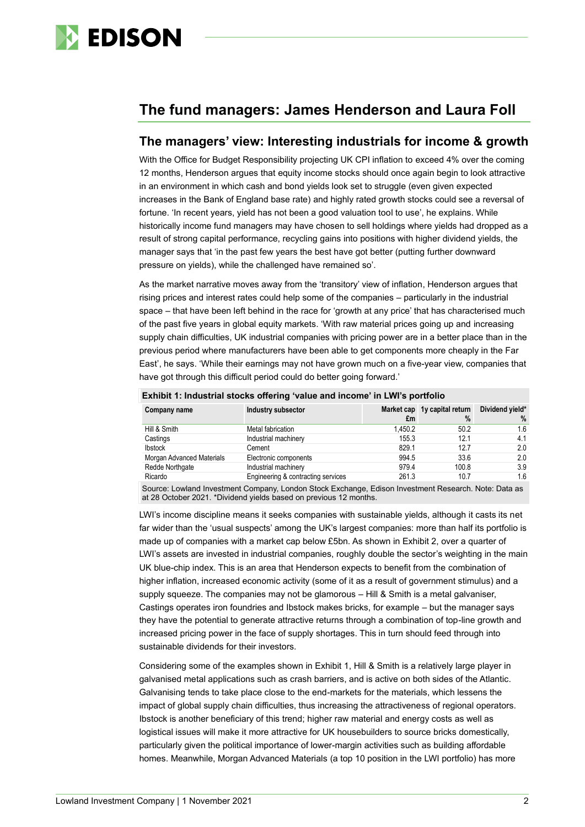

## **The fund managers: James Henderson and Laura Foll**

## **The managers' view: Interesting industrials for income & growth**

With the Office for Budget Responsibility projecting UK CPI inflation to exceed 4% over the coming 12 months, Henderson argues that equity income stocks should once again begin to look attractive in an environment in which cash and bond yields look set to struggle (even given expected increases in the Bank of England base rate) and highly rated growth stocks could see a reversal of fortune. 'In recent years, yield has not been a good valuation tool to use', he explains. While historically income fund managers may have chosen to sell holdings where yields had dropped as a result of strong capital performance, recycling gains into positions with higher dividend yields, the manager says that 'in the past few years the best have got better (putting further downward pressure on yields), while the challenged have remained so'.

As the market narrative moves away from the 'transitory' view of inflation, Henderson argues that rising prices and interest rates could help some of the companies – particularly in the industrial space – that have been left behind in the race for 'growth at any price' that has characterised much of the past five years in global equity markets. 'With raw material prices going up and increasing supply chain difficulties, UK industrial companies with pricing power are in a better place than in the previous period where manufacturers have been able to get components more cheaply in the Far East', he says. 'While their earnings may not have grown much on a five-year view, companies that have got through this difficult period could do better going forward.'

| Company name              | Industry subsector                 | £m      | Market cap 1y capital return<br>$\%$ | Dividend yield*<br>% |
|---------------------------|------------------------------------|---------|--------------------------------------|----------------------|
| Hill & Smith              | Metal fabrication                  | 1.450.2 | 50.2                                 | 1.6                  |
| Castings                  | Industrial machinery               | 155.3   | 12.1                                 | 4.1                  |
| <b>Ibstock</b>            | Cement                             | 829.1   | 12.7                                 | 2.0                  |
| Morgan Advanced Materials | Electronic components              | 994.5   | 33.6                                 | 2.0                  |
| Redde Northgate           | Industrial machinery               | 979.4   | 100.8                                | 3.9                  |
| Ricardo                   | Engineering & contracting services | 261.3   | 10.7                                 | 1.6                  |

**Exhibit 1: Industrial stocks offering 'value and income' in LWI's portfolio**

Source: Lowland Investment Company, London Stock Exchange, Edison Investment Research. Note: Data as at 28 October 2021. \*Dividend yields based on previous 12 months.

LWI's income discipline means it seeks companies with sustainable yields, although it casts its net far wider than the 'usual suspects' among the UK's largest companies: more than half its portfolio is made up of companies with a market cap below £5bn. As shown in Exhibit 2, over a quarter of LWI's assets are invested in industrial companies, roughly double the sector's weighting in the main UK blue-chip index. This is an area that Henderson expects to benefit from the combination of higher inflation, increased economic activity (some of it as a result of government stimulus) and a supply squeeze. The companies may not be glamorous – Hill & Smith is a metal galvaniser, Castings operates iron foundries and Ibstock makes bricks, for example – but the manager says they have the potential to generate attractive returns through a combination of top-line growth and increased pricing power in the face of supply shortages. This in turn should feed through into sustainable dividends for their investors.

Considering some of the examples shown in Exhibit 1, Hill & Smith is a relatively large player in galvanised metal applications such as crash barriers, and is active on both sides of the Atlantic. Galvanising tends to take place close to the end-markets for the materials, which lessens the impact of global supply chain difficulties, thus increasing the attractiveness of regional operators. Ibstock is another beneficiary of this trend; higher raw material and energy costs as well as logistical issues will make it more attractive for UK housebuilders to source bricks domestically, particularly given the political importance of lower-margin activities such as building affordable homes. Meanwhile, Morgan Advanced Materials (a top 10 position in the LWI portfolio) has more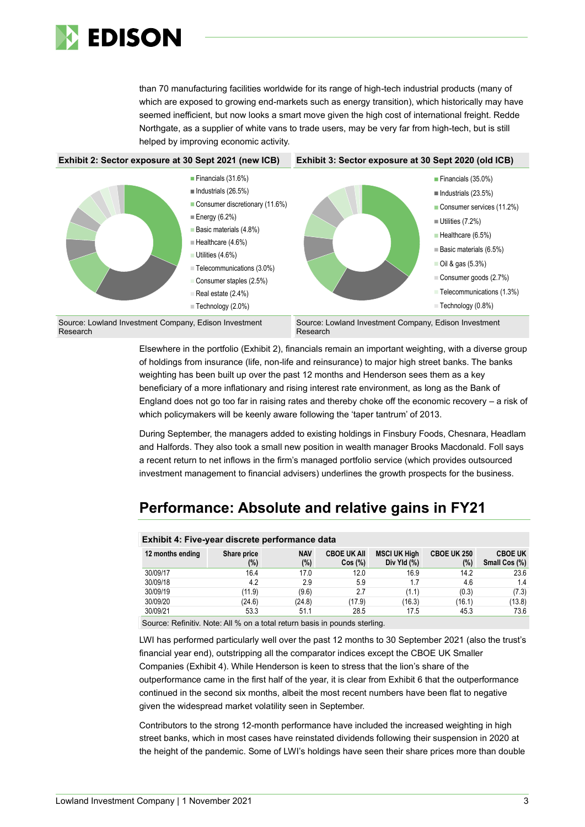

than 70 manufacturing facilities worldwide for its range of high-tech industrial products (many of which are exposed to growing end-markets such as energy transition), which historically may have seemed inefficient, but now looks a smart move given the high cost of international freight. Redde Northgate, as a supplier of white vans to trade users, may be very far from high-tech, but is still helped by improving economic activity.



Elsewhere in the portfolio (Exhibit 2), financials remain an important weighting, with a diverse group of holdings from insurance (life, non-life and reinsurance) to major high street banks. The banks weighting has been built up over the past 12 months and Henderson sees them as a key beneficiary of a more inflationary and rising interest rate environment, as long as the Bank of England does not go too far in raising rates and thereby choke off the economic recovery – a risk of which policymakers will be keenly aware following the 'taper tantrum' of 2013.

During September, the managers added to existing holdings in Finsbury Foods, Chesnara, Headlam and Halfords. They also took a small new position in wealth manager Brooks Macdonald. Foll says a recent return to net inflows in the firm's managed portfolio service (which provides outsourced investment management to financial advisers) underlines the growth prospects for the business.

## **Performance: Absolute and relative gains in FY21**

| Exhibit 4: Five-year discrete performance data |                    |                   |                              |                                    |                           |                                 |  |  |
|------------------------------------------------|--------------------|-------------------|------------------------------|------------------------------------|---------------------------|---------------------------------|--|--|
| 12 months ending                               | Share price<br>(%) | <b>NAV</b><br>(%) | <b>CBOE UK AII</b><br>Cos(%) | <b>MSCI UK High</b><br>Div Yld (%) | <b>CBOE UK 250</b><br>(%) | <b>CBOE UK</b><br>Small Cos (%) |  |  |
| 30/09/17                                       | 16.4               | 17.0              | 12.0                         | 16.9                               | 14.2                      | 23.6                            |  |  |
| 30/09/18                                       | 4.2                | 2.9               | 5.9                          | 1.7                                | 4.6                       | 1.4                             |  |  |
| 30/09/19                                       | (11.9)             | (9.6)             | 2.7                          | (1.1)                              | (0.3)                     | (7.3)                           |  |  |
| 30/09/20                                       | (24.6)             | (24.8)            | (17.9)                       | (16.3)                             | (16.1)                    | (13.8)                          |  |  |
| 30/09/21                                       | 53.3               | 51.1              | 28.5                         | 17.5                               | 45.3                      | 73.6                            |  |  |

Source: Refinitiv. Note: All % on a total return basis in pounds sterling.

LWI has performed particularly well over the past 12 months to 30 September 2021 (also the trust's financial year end), outstripping all the comparator indices except the CBOE UK Smaller Companies (Exhibit 4). While Henderson is keen to stress that the lion's share of the outperformance came in the first half of the year, it is clear from Exhibit 6 that the outperformance continued in the second six months, albeit the most recent numbers have been flat to negative given the widespread market volatility seen in September.

Contributors to the strong 12-month performance have included the increased weighting in high street banks, which in most cases have reinstated dividends following their suspension in 2020 at the height of the pandemic. Some of LWI's holdings have seen their share prices more than double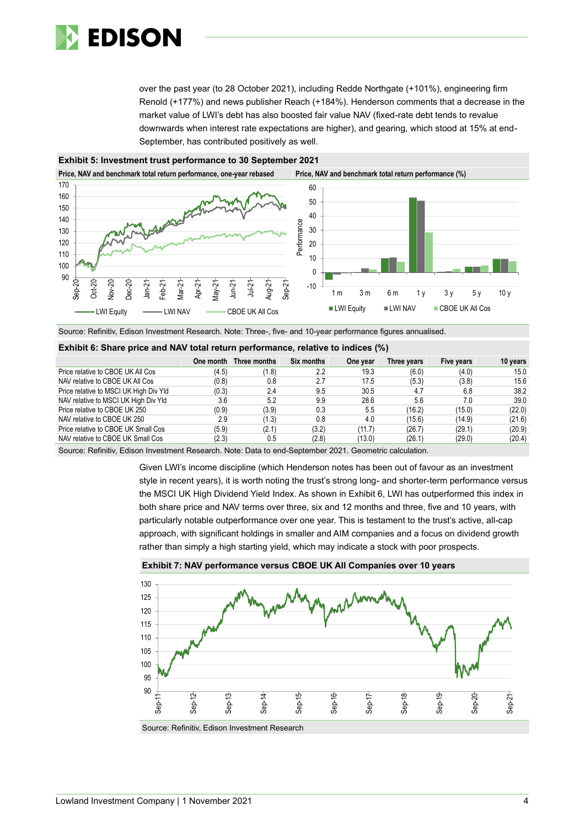

over the past year (to 28 October 2021), including Redde Northgate (+101%), engineering firm Renold (+177%) and news publisher Reach (+184%). Henderson comments that a decrease in the market value of LWI's debt has also boosted fair value NAV (fixed-rate debt tends to revalue downwards when interest rate expectations are higher), and gearing, which stood at 15% at end-September, has contributed positively as well.



**Exhibit 5: Investment trust performance to 30 September 2021**

Source: Refinitiv, Edison Investment Research. Note: Three-, five- and 10-year performance figures annualised.

#### **Exhibit 6: Share price and NAV total return performance, relative to indices (%)**

|                                        |       | One month Three months | Six months | One year | Three years | Five years | 10 years |
|----------------------------------------|-------|------------------------|------------|----------|-------------|------------|----------|
| Price relative to CBOE UK All Cos      | (4.5) | (1.8)                  | 2.2        | 19.3     | (6.0)       | (4.0)      | 15.0     |
| NAV relative to CBOE UK All Cos        | (0.8) | 0.8                    | 2.7        | 17.5     | (5.3)       | (3.8)      | 15.6     |
| Price relative to MSCI UK High Div Yld | (0.3) | 2.4                    | 9.5        | 30.5     | 4.7         | 6.8        | 38.2     |
| NAV relative to MSCI UK High Div Yld   | 3.6   | 5.2                    | 9.9        | 28.6     | 5.6         | 7.0        | 39.0     |
| Price relative to CBOE UK 250          | (0.9) | (3.9)                  | 0.3        | 5.5      | (16.2)      | (15.0)     | (22.0)   |
| NAV relative to CBOE UK 250            | 2.9   | (1.3)                  | 0.8        | 4.0      | (15.6)      | (14.9)     | (21.6)   |
| Price relative to CBOE UK Small Cos    | (5.9) | (2.1)                  | (3.2)      | (11.7)   | (26.7)      | (29.1)     | (20.9)   |
| NAV relative to CBOE UK Small Cos      | (2.3) | 0.5                    | (2.8)      | (13.0)   | (26.1)      | (29.0)     | (20.4)   |

Source: Refinitiv, Edison Investment Research. Note: Data to end-September 2021. Geometric calculation.

Given LWI's income discipline (which Henderson notes has been out of favour as an investment style in recent years), it is worth noting the trust's strong long- and shorter-term performance versus the MSCI UK High Dividend Yield Index. As shown in Exhibit 6, LWI has outperformed this index in both share price and NAV terms over three, six and 12 months and three, five and 10 years, with particularly notable outperformance over one year. This is testament to the trust's active, all-cap approach, with significant holdings in smaller and AIM companies and a focus on dividend growth rather than simply a high starting yield, which may indicate a stock with poor prospects.



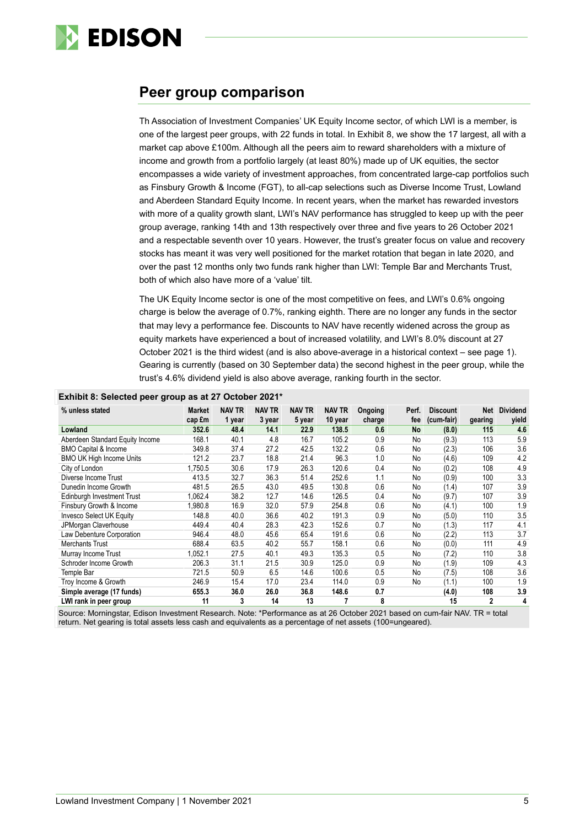

## **Peer group comparison**

Th Association of Investment Companies' UK Equity Income sector, of which LWI is a member, is one of the largest peer groups, with 22 funds in total. In Exhibit 8, we show the 17 largest, all with a market cap above £100m. Although all the peers aim to reward shareholders with a mixture of income and growth from a portfolio largely (at least 80%) made up of UK equities, the sector encompasses a wide variety of investment approaches, from concentrated large-cap portfolios such as Finsbury Growth & Income (FGT), to all-cap selections such as Diverse Income Trust, Lowland and Aberdeen Standard Equity Income. In recent years, when the market has rewarded investors with more of a quality growth slant, LWI's NAV performance has struggled to keep up with the peer group average, ranking 14th and 13th respectively over three and five years to 26 October 2021 and a respectable seventh over 10 years. However, the trust's greater focus on value and recovery stocks has meant it was very well positioned for the market rotation that began in late 2020, and over the past 12 months only two funds rank higher than LWI: Temple Bar and Merchants Trust, both of which also have more of a 'value' tilt.

The UK Equity Income sector is one of the most competitive on fees, and LWI's 0.6% ongoing charge is below the average of 0.7%, ranking eighth. There are no longer any funds in the sector that may levy a performance fee. Discounts to NAV have recently widened across the group as equity markets have experienced a bout of increased volatility, and LWI's 8.0% discount at 27 October 2021 is the third widest (and is also above-average in a historical context – see page 1). Gearing is currently (based on 30 September data) the second highest in the peer group, while the trust's 4.6% dividend yield is also above average, ranking fourth in the sector.

| $\sim$<br>$\cdot$ .             |                         |                         |                         |                         |                          |                   |              |                               |                |                          |
|---------------------------------|-------------------------|-------------------------|-------------------------|-------------------------|--------------------------|-------------------|--------------|-------------------------------|----------------|--------------------------|
| % unless stated                 | <b>Market</b><br>cap £m | <b>NAV TR</b><br>1 year | <b>NAV TR</b><br>3 year | <b>NAV TR</b><br>5 year | <b>NAV TR</b><br>10 year | Ongoing<br>charge | Perf.<br>fee | <b>Discount</b><br>(cum-fair) | Net<br>gearing | <b>Dividend</b><br>yield |
| Lowland                         | 352.6                   | 48.4                    | 14.1                    | 22.9                    | 138.5                    | 0.6               | No           | (8.0)                         | 115            | 4.6                      |
| Aberdeen Standard Equity Income | 168.1                   | 40.1                    | 4.8                     | 16.7                    | 105.2                    | 0.9               | No           | (9.3)                         | 113            | 5.9                      |
| <b>BMO Capital &amp; Income</b> | 349.8                   | 37.4                    | 27.2                    | 42.5                    | 132.2                    | 0.6               | No           | (2.3)                         | 106            | 3.6                      |
| <b>BMO UK High Income Units</b> | 121.2                   | 23.7                    | 18.8                    | 21.4                    | 96.3                     | 1.0               | No           | (4.6)                         | 109            | 4.2                      |
| City of London                  | 1.750.5                 | 30.6                    | 17.9                    | 26.3                    | 120.6                    | 0.4               | No           | (0.2)                         | 108            | 4.9                      |
| Diverse Income Trust            | 413.5                   | 32.7                    | 36.3                    | 51.4                    | 252.6                    | 1.1               | No           | (0.9)                         | 100            | 3.3                      |
| Dunedin Income Growth           | 481.5                   | 26.5                    | 43.0                    | 49.5                    | 130.8                    | 0.6               | No           | (1.4)                         | 107            | 3.9                      |
| Edinburgh Investment Trust      | 1,062.4                 | 38.2                    | 12.7                    | 14.6                    | 126.5                    | 0.4               | No           | (9.7)                         | 107            | 3.9                      |
| Finsbury Growth & Income        | ,980.8                  | 16.9                    | 32.0                    | 57.9                    | 254.8                    | 0.6               | No           | (4.1)                         | 100            | 1.9                      |
| <b>Invesco Select UK Equity</b> | 148.8                   | 40.0                    | 36.6                    | 40.2                    | 191.3                    | 0.9               | No           | (5.0)                         | 110            | 3.5                      |
| JPMorgan Claverhouse            | 449.4                   | 40.4                    | 28.3                    | 42.3                    | 152.6                    | 0.7               | No           | (1.3)                         | 117            | 4.1                      |
| Law Debenture Corporation       | 946.4                   | 48.0                    | 45.6                    | 65.4                    | 191.6                    | 0.6               | No           | (2.2)                         | 113            | 3.7                      |
| <b>Merchants Trust</b>          | 688.4                   | 63.5                    | 40.2                    | 55.7                    | 158.1                    | 0.6               | No           | (0.0)                         | 111            | 4.9                      |
| Murray Income Trust             | 1,052.1                 | 27.5                    | 40.1                    | 49.3                    | 135.3                    | 0.5               | No           | (7.2)                         | 110            | 3.8                      |
| Schroder Income Growth          | 206.3                   | 31.1                    | 21.5                    | 30.9                    | 125.0                    | 0.9               | No           | (1.9)                         | 109            | 4.3                      |
| Temple Bar                      | 721.5                   | 50.9                    | 6.5                     | 14.6                    | 100.6                    | 0.5               | No           | (7.5)                         | 108            | 3.6                      |
| Troy Income & Growth            | 246.9                   | 15.4                    | 17.0                    | 23.4                    | 114.0                    | 0.9               | No           | (1.1)                         | 100            | 1.9                      |
| Simple average (17 funds)       | 655.3                   | 36.0                    | 26.0                    | 36.8                    | 148.6                    | 0.7               |              | (4.0)                         | 108            | 3.9                      |
| LWI rank in peer group          | 11                      | 3                       | 14                      | 13                      |                          | 8                 |              | 15                            | $\overline{2}$ | 4                        |

## **Exhibit 8: Selected peer group as at 27 October 2021\***

Source: Morningstar, Edison Investment Research. Note: \*Performance as at 26 October 2021 based on cum-fair NAV. TR = total return. Net gearing is total assets less cash and equivalents as a percentage of net assets (100=ungeared).